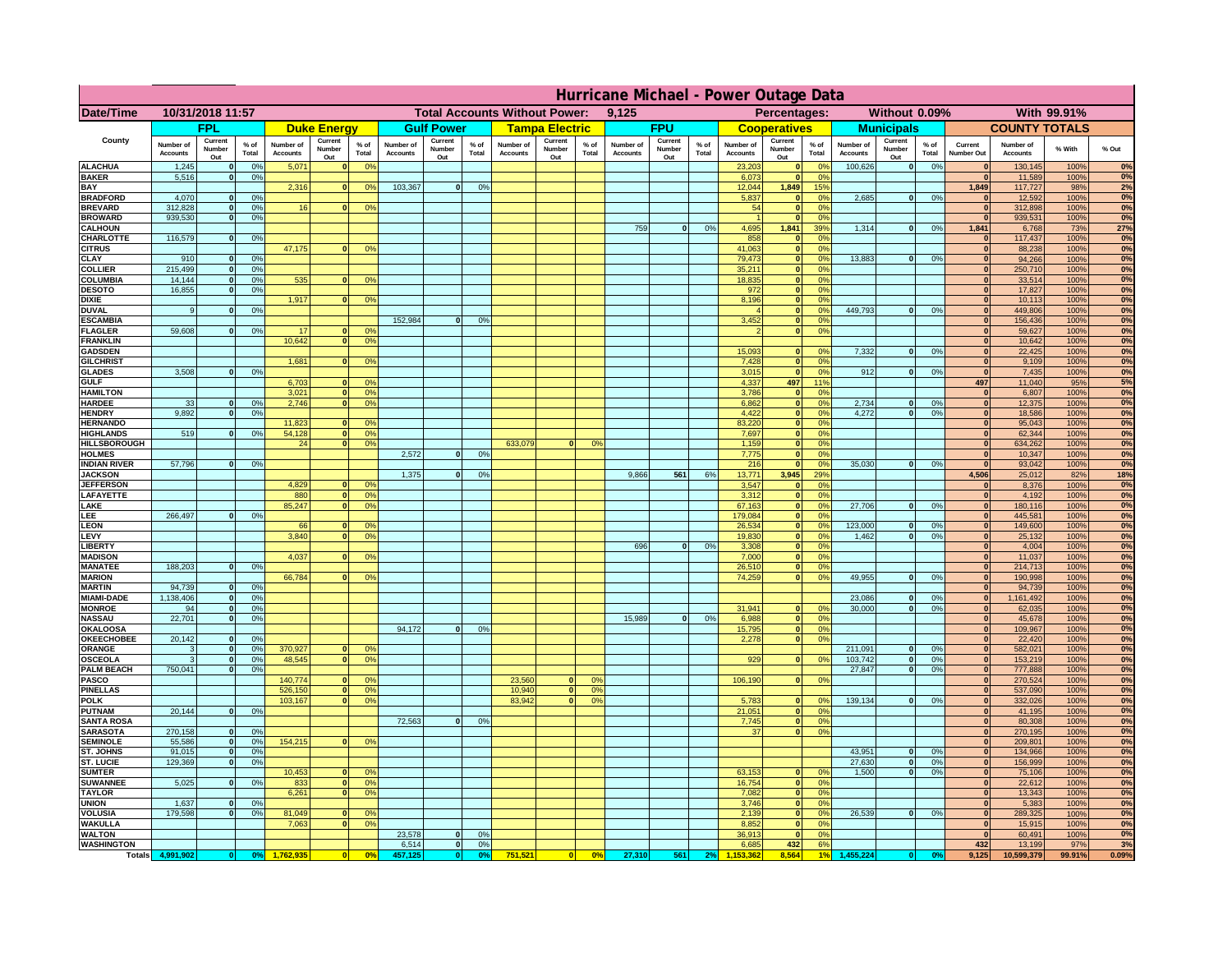| <b>Total Accounts Without Power:</b><br>Date/Time<br>10/31/2018 11:57<br>9,125<br>Percentages:<br>Without 0.09%<br><b>FPL</b><br><b>FPU</b><br><b>Duke Energy</b><br><b>Gulf Power</b><br><b>Tampa Electric</b><br><b>Cooperatives</b><br><b>Municipals</b><br>Current<br>Current<br>Current<br>Current<br>Current<br>County<br>Current<br>Current<br>$%$ of<br>$%$ of<br>$%$ of<br>Number of<br>$%$ of<br>Number of<br>Number of<br>$%$ of<br>Number of<br>Number of<br>% of<br>Number of<br>Number of<br>$%$ of<br>Current<br>Number<br>Number<br>Number<br><b>Number</b><br>Number<br>Number<br>Number<br>Total<br>Number Out<br><b>Accounts</b><br><b>Accounts</b><br>Total<br><b>Accounts</b><br>Total<br><b>Accounts</b><br>Total<br><b>Accounts</b><br>Total<br><b>Accounts</b><br>Total<br><b>Accounts</b><br>Total<br>Out<br>Out<br>Out<br>Out<br>Out<br>Out<br>Out | <b>COUNTY TOTALS</b><br>Number of<br><b>Accounts</b><br>130,145<br>11,589<br>117,727<br>12,592<br> 0 <br>312,898 | With 99.91%<br>% With<br>% Out<br>0%<br>100%<br>0%<br>100%<br>2%<br>98% |
|------------------------------------------------------------------------------------------------------------------------------------------------------------------------------------------------------------------------------------------------------------------------------------------------------------------------------------------------------------------------------------------------------------------------------------------------------------------------------------------------------------------------------------------------------------------------------------------------------------------------------------------------------------------------------------------------------------------------------------------------------------------------------------------------------------------------------------------------------------------------------|------------------------------------------------------------------------------------------------------------------|-------------------------------------------------------------------------|
|                                                                                                                                                                                                                                                                                                                                                                                                                                                                                                                                                                                                                                                                                                                                                                                                                                                                              |                                                                                                                  |                                                                         |
|                                                                                                                                                                                                                                                                                                                                                                                                                                                                                                                                                                                                                                                                                                                                                                                                                                                                              |                                                                                                                  |                                                                         |
|                                                                                                                                                                                                                                                                                                                                                                                                                                                                                                                                                                                                                                                                                                                                                                                                                                                                              |                                                                                                                  |                                                                         |
| <b>ALACHUA</b><br>100,626<br>0%<br>1,245<br>0%<br>5,071<br>0 <sup>9</sup><br>23,203<br> 0 <br>$^{\circ}$<br>$\mathbf{0}$<br>$\bf{0}$<br>$\mathbf{0}$<br><b>BAKER</b><br>0 <sup>9</sup><br>$\mathbf{0}$<br>$\bf{0}$<br>$\mathbf{0}$                                                                                                                                                                                                                                                                                                                                                                                                                                                                                                                                                                                                                                           |                                                                                                                  |                                                                         |
| 5,516<br>0%<br>6,073<br>103,367<br>BAY<br>2,316<br>0%<br> 0 <br>0%<br>12,044<br>1,849<br>15%<br>1,849<br>$\Omega$                                                                                                                                                                                                                                                                                                                                                                                                                                                                                                                                                                                                                                                                                                                                                            |                                                                                                                  |                                                                         |
| <b>BRADFORD</b><br>4,070<br>0%<br>2,685<br> 0 <br>0%<br>5,837<br>0 <sup>9</sup><br>$\mathbf{0}$<br>$\Omega$<br>$\Omega$                                                                                                                                                                                                                                                                                                                                                                                                                                                                                                                                                                                                                                                                                                                                                      |                                                                                                                  | 0%<br>100%                                                              |
| <b>BREVARD</b><br>312.828<br>0 <sup>9</sup><br>16<br>0 <sup>9</sup><br>54<br> 0 <br>0 <sup>9</sup><br>$\mathbf{0}$<br>939.530<br><b>BROWARD</b><br>0%<br> 0 <br>0%<br> 0 <br>$\mathbf{0}$                                                                                                                                                                                                                                                                                                                                                                                                                                                                                                                                                                                                                                                                                    | 939,531                                                                                                          | 0%<br>100%<br>0%<br>100%                                                |
| 759<br>0%<br>4,695<br>1,841<br>39%<br>1,314<br>0%<br>1,841<br><b>CALHOUN</b><br> 0 <br> 0                                                                                                                                                                                                                                                                                                                                                                                                                                                                                                                                                                                                                                                                                                                                                                                    | 6,768                                                                                                            | 27%<br>73%                                                              |
| CHARLOTTE<br>116,579<br>0%<br>858<br>0%<br> 0 <br>$\mathbf{0}$<br>$\mathbf{0}$<br>47,175<br>41.063<br><b>CITRUS</b><br>0 <sup>9</sup><br> 0 <br>0 <sup>9</sup><br>$\mathbf{0}$                                                                                                                                                                                                                                                                                                                                                                                                                                                                                                                                                                                                                                                                                               | 117,437<br>88.238                                                                                                | 0%<br>100%<br>0%<br>100%                                                |
| 910<br>0 <sup>9</sup><br>79,473<br>0%<br>13,883<br>0%<br>CLAY<br> 0 <br> 0 <br>$\bf{0}$                                                                                                                                                                                                                                                                                                                                                                                                                                                                                                                                                                                                                                                                                                                                                                                      | 94,266                                                                                                           | 100%<br>0%                                                              |
| <b>COLLIER</b><br>215,499<br>0%<br>35,211<br>0 <sup>9</sup><br> 0 <br>$\mathbf{0}$                                                                                                                                                                                                                                                                                                                                                                                                                                                                                                                                                                                                                                                                                                                                                                                           | 250,710                                                                                                          | 0%<br>100%                                                              |
| COLUMBIA<br>14,144<br>0%<br>535<br>0 <sup>o</sup><br>18,835<br> 0 <br>0 <sup>9</sup><br>$\mathbf{0}$<br><b>DESOTO</b><br>16,855<br>0%<br>972<br> 0 <br>0 <sup>9</sup><br>$\mathbf{0}$                                                                                                                                                                                                                                                                                                                                                                                                                                                                                                                                                                                                                                                                                        | 33,514<br>17,827                                                                                                 | 0%<br>100%<br>0%<br>100%                                                |
| <b>DIXIE</b><br>1,917<br>0 <sup>o</sup><br>8,196<br>0 <sup>9</sup><br> 0 <br>$\mathbf{0}$                                                                                                                                                                                                                                                                                                                                                                                                                                                                                                                                                                                                                                                                                                                                                                                    | 10,113                                                                                                           | 0%<br>100%                                                              |
| 449,793<br><b>DUVAL</b><br>0 <sup>9</sup><br> 0 <br>0 <sup>o</sup><br> 0 <br>0%<br>9<br>$\mathbf{0}$                                                                                                                                                                                                                                                                                                                                                                                                                                                                                                                                                                                                                                                                                                                                                                         | 449,806                                                                                                          | 0%<br>100%                                                              |
| 152,984<br><b>ESCAMBIA</b><br>0 <sup>9</sup><br>3,452<br>$\mathbf{0}$<br>0 <sup>o</sup><br>$\Omega$<br>$\mathbf{0}$<br>59,608<br>0 <sup>9</sup><br>0 <sup>9</sup><br><b>FLAGLER</b><br>17<br>0 <sup>9</sup><br> 0 <br>$\mathbf{0}$<br>$\mathbf{0}$                                                                                                                                                                                                                                                                                                                                                                                                                                                                                                                                                                                                                           | 156,436<br>59,627                                                                                                | $0\%$<br>100%<br>0%<br>100%                                             |
| 10,642<br>0 <sup>9</sup><br><b>FRANKLIN</b><br>$\bf{0}$                                                                                                                                                                                                                                                                                                                                                                                                                                                                                                                                                                                                                                                                                                                                                                                                                      | 10,642                                                                                                           | 0%<br>100%                                                              |
| 7,332<br>15,093<br><b>GADSDEN</b><br>$\mathbf{0}$<br>0 <sup>9</sup><br> 0 <br>0%<br> 0                                                                                                                                                                                                                                                                                                                                                                                                                                                                                                                                                                                                                                                                                                                                                                                       | 22,425                                                                                                           | 0%<br>100%                                                              |
| 1.681<br>7,428<br><b>GILCHRIST</b><br> 0 <br>0 <sup>9</sup><br> 0 <br>0 <sup>9</sup><br>3.508<br>0%<br> 0 <br>0%<br>912<br><b>GLADES</b><br>3,015<br> 0 <br>0%<br> 0                                                                                                                                                                                                                                                                                                                                                                                                                                                                                                                                                                                                                                                                                                         | 9,109<br>7,435                                                                                                   | 0%<br>100%<br>0%<br>100%                                                |
| 497<br>119<br>6,703<br>4,337<br>497<br><b>GULF</b><br>0 <sup>9</sup>                                                                                                                                                                                                                                                                                                                                                                                                                                                                                                                                                                                                                                                                                                                                                                                                         | 11,040                                                                                                           | 5%<br>95%                                                               |
| 3,021<br><b>HAMILTON</b><br>0%<br>3,786<br>0%<br> 0 <br> 0 <br>$\Omega$                                                                                                                                                                                                                                                                                                                                                                                                                                                                                                                                                                                                                                                                                                                                                                                                      | 6,807                                                                                                            | 100%<br>0%                                                              |
| 0 <br>2,734<br>33<br>0%<br>2,746<br>0 <sup>9</sup><br>6,862<br>0%<br> 0 <br><b>HARDEE</b><br>$\mathbf{0}$<br>0%<br>$\mathbf{0}$<br>$\Omega$<br>9.892<br>0 <sup>9</sup><br>4,422<br> 0 <br>0%<br>4.272<br><b>HENDRY</b><br> 0 <br>0%<br> 0 <br>$\Omega$                                                                                                                                                                                                                                                                                                                                                                                                                                                                                                                                                                                                                       | 12,375<br>18,586                                                                                                 | 0%<br>100%<br>100%<br>0%                                                |
| 11,823<br>83,220<br> 0 <br>0 <sup>9</sup><br> 0 <br><b>HERNANDO</b><br>0 <sup>o</sup>                                                                                                                                                                                                                                                                                                                                                                                                                                                                                                                                                                                                                                                                                                                                                                                        | 95,043                                                                                                           | 100%<br>0%                                                              |
| <b>HIGHLANDS</b><br>519<br>0%<br>54,128<br>0%<br>7,697<br> 0 <br>0 <sup>9</sup><br> 0 <br>$\Omega$                                                                                                                                                                                                                                                                                                                                                                                                                                                                                                                                                                                                                                                                                                                                                                           | 62,344                                                                                                           | 100%<br>0%                                                              |
| <b>HILLSBOROUGH</b><br>24<br>0 <sup>9</sup><br>633,079<br>0 <sup>9</sup><br>1,159<br> 0 <br>0 <sup>9</sup><br> 0 <br>$\Omega$<br><b>HOLMES</b><br>2,572<br>0 <sup>9</sup><br>7,775<br> 0 <br>0 <sup>9</sup><br>$\mathbf{0}$<br>$\Omega$                                                                                                                                                                                                                                                                                                                                                                                                                                                                                                                                                                                                                                      | 634,262<br>10,347                                                                                                | 0%<br>100%<br>0%<br>100%                                                |
| 57,796<br>35,030<br><b>INDIAN RIVER</b><br>0%<br>216<br> 0 <br>0 <sup>9</sup><br>$\mathbf{0}$<br>0%<br>$\mathbf{0}$                                                                                                                                                                                                                                                                                                                                                                                                                                                                                                                                                                                                                                                                                                                                                          | 93,042                                                                                                           | 0%<br>100%                                                              |
| <b>JACKSON</b><br>1,375<br>0 <sup>9</sup><br>9,866<br>561<br>6%<br>13,771<br>3,945<br>29%<br>4,506<br>$\Omega$                                                                                                                                                                                                                                                                                                                                                                                                                                                                                                                                                                                                                                                                                                                                                               | 25,012                                                                                                           | 18%<br>82%                                                              |
| 4.829<br><b>JEFFERSON</b><br>0 <sup>9</sup><br>3.547<br>$\mathbf{0}$<br>0%<br>$\mathbf{0}$<br>LAFAYETTE<br>880<br>0 <sup>9</sup><br>3.312<br>$\mathbf{0}$<br>0%<br> 0 <br>n.                                                                                                                                                                                                                                                                                                                                                                                                                                                                                                                                                                                                                                                                                                 | 8,376<br>4.192                                                                                                   | 0%<br>100%<br>0%<br>100%                                                |
| LAKE<br>85,247<br>0%<br>67,163<br> 0 <br>0%<br>27,706<br>$\mathbf{0}$<br>0%<br> 0                                                                                                                                                                                                                                                                                                                                                                                                                                                                                                                                                                                                                                                                                                                                                                                            | 180,116                                                                                                          | 0%<br>100%                                                              |
| 266,497<br>0%<br>179,084<br>0%<br>LEE<br> 0 <br> 0                                                                                                                                                                                                                                                                                                                                                                                                                                                                                                                                                                                                                                                                                                                                                                                                                           | 445,581                                                                                                          | 0%<br>100%                                                              |
| 123,000<br><b>LEON</b><br>66<br>0 <sup>9</sup><br>26,534<br> 0 <br>0%<br>$\mathbf{0}$<br>0%<br> 0 <br>LEVY<br>3,840<br>0 <sup>9</sup><br>19,830<br>0%<br>1,462<br>0%<br> 0 <br> 0 <br>$\mathbf{0}$                                                                                                                                                                                                                                                                                                                                                                                                                                                                                                                                                                                                                                                                           | 149,600<br>25,132                                                                                                | 0%<br>100%<br>100%<br>0%                                                |
| 696<br>0%<br>3,308<br>0%<br><b>LIBERT</b><br>$\Omega$<br> 0 <br> 0                                                                                                                                                                                                                                                                                                                                                                                                                                                                                                                                                                                                                                                                                                                                                                                                           | 4,004                                                                                                            | 0%<br>100%                                                              |
| <b>MADISON</b><br>4,037<br>0%<br>0 <sup>o</sup><br>7,000<br> 0 <br> 0 <br>188,203<br>$\mathbf{0}$                                                                                                                                                                                                                                                                                                                                                                                                                                                                                                                                                                                                                                                                                                                                                                            | 11,037                                                                                                           | 0%<br>100%<br>0%                                                        |
| <b>MANATEE</b><br>0 <sup>9</sup><br>26,510<br>0%<br> 0 <br> 0 <br>49,955<br><b>MARION</b><br>66,784<br>74,259<br> 0 <br>0%<br> 0 <br>0%<br>0 <sup>9</sup><br>$\mathbf{0}$                                                                                                                                                                                                                                                                                                                                                                                                                                                                                                                                                                                                                                                                                                    | 214,713<br>190,998                                                                                               | 100%<br>0%<br>100%                                                      |
| 94,739<br><b>MARTIN</b><br>0 <sup>9</sup><br> 0 <br>$\mathbf{0}$                                                                                                                                                                                                                                                                                                                                                                                                                                                                                                                                                                                                                                                                                                                                                                                                             | 94,739                                                                                                           | 0%<br>100%                                                              |
| 1,138,406<br>23,086<br><b>MIAMI-DADE</b><br> 0 <br>0%<br> 0 <br>0%<br> 0                                                                                                                                                                                                                                                                                                                                                                                                                                                                                                                                                                                                                                                                                                                                                                                                     | 1,161,492                                                                                                        | 0%<br>100%<br>0%                                                        |
| <b>MONROE</b><br>94<br>-ol<br>0%<br>31,941<br>30,000<br> 0 <br>0%<br>$\mathbf{0}$<br>0 <sup>9</sup><br>$\mathbf{0}$<br>22,701<br>15,989<br><b>NASSAU</b><br> 0 <br>0%<br> 0 <br>0%<br>6,988<br> 0 <br>0%<br> 0                                                                                                                                                                                                                                                                                                                                                                                                                                                                                                                                                                                                                                                               | 62,035<br>45,678                                                                                                 | 100%<br>0%<br>100%                                                      |
| 0%<br><b>OKALOOSA</b><br>94,172<br> 0 <br>0%<br>15,795<br> 0 <br> 0                                                                                                                                                                                                                                                                                                                                                                                                                                                                                                                                                                                                                                                                                                                                                                                                          | 109,967                                                                                                          | 0%<br>100%                                                              |
| 20,142<br>0%<br><b>OKEECHOBEE</b><br>0%<br> 0 <br>0<br>2,278<br> 0 <br>370,927<br>211,091<br>0%<br>ORANGE<br>3<br> 0 <br>0 <sup>9</sup><br> 0 <br>0%<br> 0                                                                                                                                                                                                                                                                                                                                                                                                                                                                                                                                                                                                                                                                                                                   | 22,420<br>582,021                                                                                                | 0%<br>100%<br>0%<br>100%                                                |
| 0%<br><b>OSCEOLA</b><br>0%<br>48,545<br>929<br>103,742<br>0%<br>3<br> 0 <br>$\bullet$<br> 0 <br>0%<br> 0 <br> 0                                                                                                                                                                                                                                                                                                                                                                                                                                                                                                                                                                                                                                                                                                                                                              | 153,219                                                                                                          | 0%<br>100%                                                              |
| 750,041<br>0%<br>27,847<br>0%<br><b>PALM BEACH</b><br> 0 <br> 0 <br> 0                                                                                                                                                                                                                                                                                                                                                                                                                                                                                                                                                                                                                                                                                                                                                                                                       | 777,888                                                                                                          | 0%<br>100%                                                              |
| <b>PASCO</b><br>140,774<br>23,560<br>106,190<br>0%<br> 0 <br>0 <sup>9</sup><br>$\mathbf{0}$<br>O <sup>o</sup><br> 0 <br><b>PINELLAS</b><br>0%<br>10,940<br>0 <sup>9</sup><br>526,150<br> 0 <br> 0 <br>$\mathbf{0}$                                                                                                                                                                                                                                                                                                                                                                                                                                                                                                                                                                                                                                                           | 270,524<br>537,090                                                                                               | 0%<br>100%<br>0%<br>100%                                                |
| 103,167<br>83,942<br>139,134<br><b>POLK</b><br>0 <sup>9</sup><br>0 <sup>o</sup><br>5,783<br>0%<br> 0 <br> 0 <br> 0 <br> 0 <br>$\Omega$<br>$^{\circ}$                                                                                                                                                                                                                                                                                                                                                                                                                                                                                                                                                                                                                                                                                                                         | 332,026                                                                                                          | 0%<br>100%                                                              |
| 20,144<br>0%<br><b>PUTNAM</b><br>21,051<br>0 <sup>9</sup><br> 0 <br> 0 <br> 0                                                                                                                                                                                                                                                                                                                                                                                                                                                                                                                                                                                                                                                                                                                                                                                                | 41,195                                                                                                           | 0%<br>100%                                                              |
| 72,563<br><b>SANTA ROSA</b><br>0%<br>0 <sup>9</sup><br> 0 <br>7,745<br> 0 <br>$\Omega$<br>270,158<br><b>SARASOTA</b><br>0%<br>0 <sup>9</sup><br>37<br> 0 <br>$\mathbf{0}$                                                                                                                                                                                                                                                                                                                                                                                                                                                                                                                                                                                                                                                                                                    | 80,308                                                                                                           | 0%<br>100%<br>0%                                                        |
| 0 <br>154,215<br><b>SEMINOLE</b><br>55,586<br>0 <sup>9</sup><br>0 <sup>9</sup><br> 0 <br> 0 <br>$\mathbf{0}$                                                                                                                                                                                                                                                                                                                                                                                                                                                                                                                                                                                                                                                                                                                                                                 | 270,195<br>209,801                                                                                               | 100%<br>0%<br>100%                                                      |
| 43,951<br>ST. JOHNS<br>91,015<br>0%<br>0%<br> 0 <br> 0 <br>$\mathbf{0}$                                                                                                                                                                                                                                                                                                                                                                                                                                                                                                                                                                                                                                                                                                                                                                                                      | 134,966                                                                                                          | 0%<br>100%                                                              |
| ST. LUCIE<br>129,369<br>0%<br>27,630<br>0%<br> 0 <br>$\mathbf{0}$<br>$\mathbf{0}$<br>10,453<br>63,153<br><b>SUMTER</b><br>0 <sup>9</sup><br>0 <sup>9</sup><br>1.500<br> 0 <br>0%<br> 0 <br>$\mathbf{0}$                                                                                                                                                                                                                                                                                                                                                                                                                                                                                                                                                                                                                                                                      | 156,999                                                                                                          | 0%<br>100%<br>0%<br>100%                                                |
| 5,025<br><b>SUWANNEE</b><br>0%<br>833<br>0 <sup>9</sup><br>16,754<br> 0 <br>0%<br>$\mathbf{0}$<br>$\Omega$<br>$\mathbf{0}$                                                                                                                                                                                                                                                                                                                                                                                                                                                                                                                                                                                                                                                                                                                                                   | 75,106<br>22,612                                                                                                 | 0%<br>100%                                                              |
| <b>TAYLOR</b><br>6,261<br>0%<br>7,082<br> 0 <br>0%<br> 0                                                                                                                                                                                                                                                                                                                                                                                                                                                                                                                                                                                                                                                                                                                                                                                                                     | 13,343                                                                                                           | 100%<br>0%                                                              |
| 1.637<br>3.746<br>0%<br><b>UNION</b><br>0%<br> 0 <br>$\mathbf{0}$<br>$\mathbf{0}$<br>179.598<br>81,049<br>26.539<br><b>VOLUSIA</b><br>$\mathbf{0}$<br>0%<br>0 <sup>9</sup><br>2.139<br> 0 <br>0%<br> 0 <br>0%<br>$\mathbf{0}$                                                                                                                                                                                                                                                                                                                                                                                                                                                                                                                                                                                                                                                | 5,383<br>289,325                                                                                                 | $0\%$<br>100%<br>0%<br>100%                                             |
| <b>WAKULLA</b><br>7,063<br>8,852<br>0%<br>0 <sup>o</sup><br> 0 <br>$\mathbf{0}$                                                                                                                                                                                                                                                                                                                                                                                                                                                                                                                                                                                                                                                                                                                                                                                              | 15,915                                                                                                           | 0%<br>100%                                                              |
| 23,578<br><b>WALTON</b><br>0 <sup>9</sup><br>36,913<br>0%<br> 0 <br> 0 <br> 0                                                                                                                                                                                                                                                                                                                                                                                                                                                                                                                                                                                                                                                                                                                                                                                                | 60,491                                                                                                           | 0%<br>100%                                                              |
| <b>WASHINGTON</b><br>6,514<br> 0 <br>0%<br>6,685<br>432<br>6%<br>432<br>751,521<br>27,310<br>561<br>8.564<br>9,125<br><b>Totals</b><br>4,991,902<br>0 <sup>9</sup><br>0 <sup>5</sup><br>457,125<br> 0 <br>0 <sup>9</sup><br> 0 <br>0%<br>455,224<br> 0 <br>2%<br>0 <sup>o</sup>                                                                                                                                                                                                                                                                                                                                                                                                                                                                                                                                                                                              | 13,199<br>10,599,379                                                                                             | 97%<br>3%<br>0.09%<br>99.91%                                            |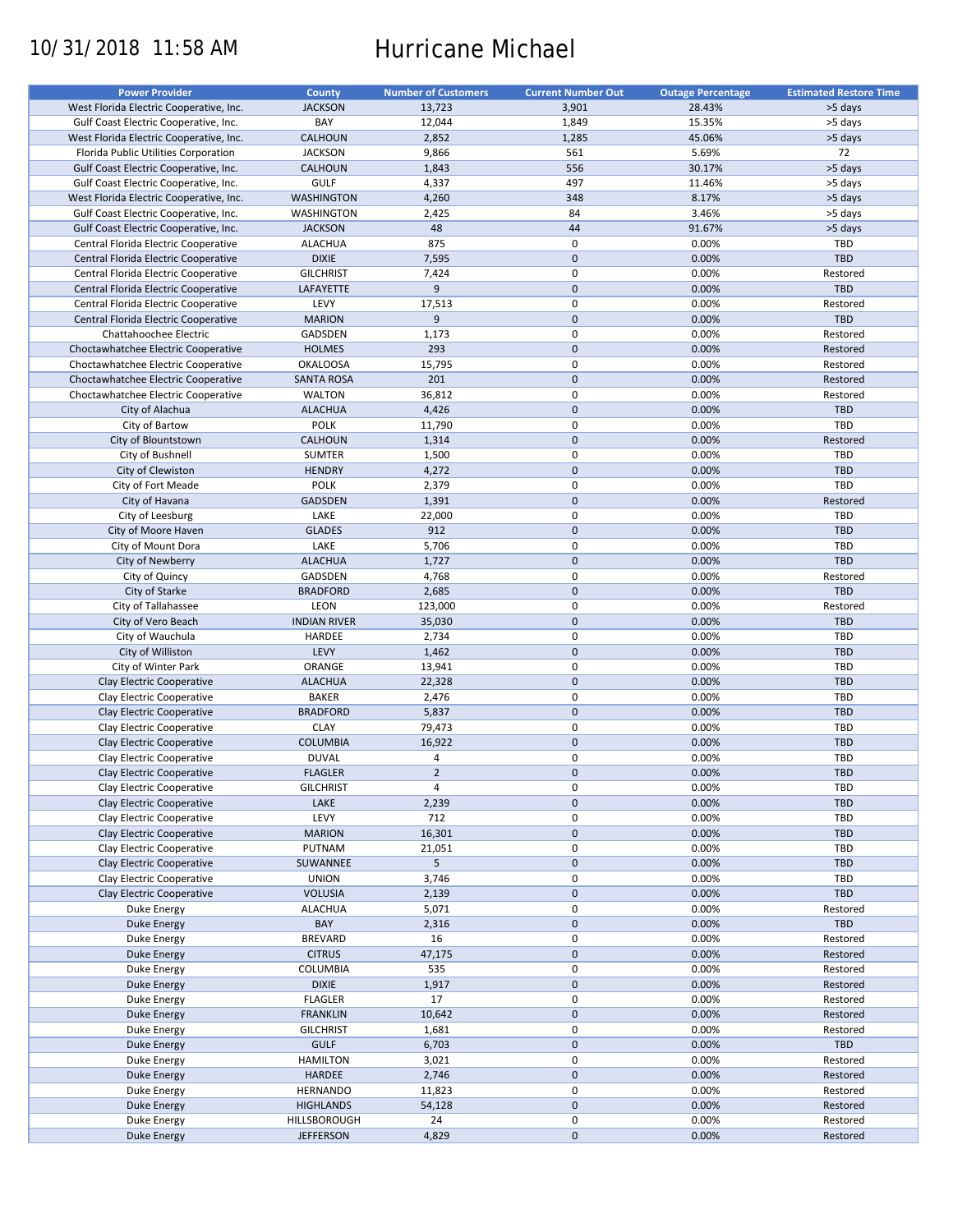# 10/31/2018 11:58 AM Hurricane Michael

| <b>Power Provider</b>                   | <b>County</b>       | <b>Number of Customers</b> | <b>Current Number Out</b> | <b>Outage Percentage</b> | <b>Estimated Restore Time</b> |
|-----------------------------------------|---------------------|----------------------------|---------------------------|--------------------------|-------------------------------|
| West Florida Electric Cooperative, Inc. | <b>JACKSON</b>      | 13,723                     | 3,901                     | 28.43%                   | >5 days                       |
| Gulf Coast Electric Cooperative, Inc.   | BAY                 | 12,044                     | 1,849                     | 15.35%                   | >5 days                       |
| West Florida Electric Cooperative, Inc. | <b>CALHOUN</b>      | 2,852                      | 1,285                     | 45.06%                   | >5 days                       |
|                                         |                     |                            | 561                       |                          | 72                            |
| Florida Public Utilities Corporation    | <b>JACKSON</b>      | 9,866                      |                           | 5.69%                    |                               |
| Gulf Coast Electric Cooperative, Inc.   | <b>CALHOUN</b>      | 1,843                      | 556                       | 30.17%                   | >5 days                       |
| Gulf Coast Electric Cooperative, Inc.   | <b>GULF</b>         | 4,337                      | 497                       | 11.46%                   | >5 days                       |
| West Florida Electric Cooperative, Inc. | <b>WASHINGTON</b>   | 4,260                      | 348                       | 8.17%                    | >5 days                       |
| Gulf Coast Electric Cooperative, Inc.   | <b>WASHINGTON</b>   | 2,425                      | 84                        | 3.46%                    | >5 days                       |
| Gulf Coast Electric Cooperative, Inc.   | <b>JACKSON</b>      | 48                         | 44                        | 91.67%                   | >5 days                       |
| Central Florida Electric Cooperative    | <b>ALACHUA</b>      | 875                        | $\pmb{0}$                 | 0.00%                    | TBD                           |
| Central Florida Electric Cooperative    | <b>DIXIE</b>        | 7,595                      | $\mathbf 0$               | 0.00%                    | TBD                           |
| Central Florida Electric Cooperative    | <b>GILCHRIST</b>    | 7,424                      | $\mathbf 0$               | 0.00%                    | Restored                      |
| Central Florida Electric Cooperative    | LAFAYETTE           | $9\,$                      | $\mathbf 0$               | 0.00%                    | <b>TBD</b>                    |
|                                         |                     |                            |                           |                          |                               |
| Central Florida Electric Cooperative    | LEVY                | 17,513                     | $\pmb{0}$                 | 0.00%                    | Restored                      |
| Central Florida Electric Cooperative    | <b>MARION</b>       | 9                          | $\mathbf 0$               | 0.00%                    | <b>TBD</b>                    |
| Chattahoochee Electric                  | GADSDEN             | 1,173                      | $\mathbf 0$               | 0.00%                    | Restored                      |
| Choctawhatchee Electric Cooperative     | <b>HOLMES</b>       | 293                        | $\mathbf 0$               | 0.00%                    | Restored                      |
| Choctawhatchee Electric Cooperative     | <b>OKALOOSA</b>     | 15,795                     | $\pmb{0}$                 | 0.00%                    | Restored                      |
| Choctawhatchee Electric Cooperative     | <b>SANTA ROSA</b>   | 201                        | $\mathbf 0$               | 0.00%                    | Restored                      |
| Choctawhatchee Electric Cooperative     | <b>WALTON</b>       | 36,812                     | $\mathbf 0$               | 0.00%                    | Restored                      |
| City of Alachua                         | <b>ALACHUA</b>      | 4,426                      | $\mathbf 0$               | 0.00%                    | TBD                           |
| City of Bartow                          | <b>POLK</b>         | 11,790                     | $\pmb{0}$                 | 0.00%                    | TBD                           |
|                                         |                     |                            |                           |                          |                               |
| City of Blountstown                     | <b>CALHOUN</b>      | 1,314                      | $\mathbf 0$               | 0.00%                    | Restored                      |
| City of Bushnell                        | <b>SUMTER</b>       | 1,500                      | $\mathbf 0$               | 0.00%                    | TBD                           |
| City of Clewiston                       | <b>HENDRY</b>       | 4,272                      | $\mathbf 0$               | 0.00%                    | <b>TBD</b>                    |
| City of Fort Meade                      | <b>POLK</b>         | 2,379                      | 0                         | 0.00%                    | TBD                           |
| City of Havana                          | <b>GADSDEN</b>      | 1,391                      | $\mathbf 0$               | 0.00%                    | Restored                      |
| City of Leesburg                        | LAKE                | 22,000                     | $\mathbf 0$               | 0.00%                    | TBD                           |
| City of Moore Haven                     | <b>GLADES</b>       | 912                        | $\mathbf 0$               | 0.00%                    | <b>TBD</b>                    |
| City of Mount Dora                      | LAKE                | 5,706                      | $\pmb{0}$                 | 0.00%                    | TBD                           |
| City of Newberry                        | <b>ALACHUA</b>      | 1,727                      | $\mathbf 0$               | 0.00%                    | TBD                           |
|                                         |                     |                            |                           |                          |                               |
| City of Quincy                          | GADSDEN             | 4,768                      | $\mathbf 0$               | 0.00%                    | Restored                      |
| City of Starke                          | <b>BRADFORD</b>     | 2,685                      | $\mathbf 0$               | 0.00%                    | TBD                           |
| City of Tallahassee                     | LEON                | 123,000                    | $\pmb{0}$                 | 0.00%                    | Restored                      |
| City of Vero Beach                      | <b>INDIAN RIVER</b> | 35,030                     | $\mathbf 0$               | 0.00%                    | TBD                           |
| City of Wauchula                        | HARDEE              | 2,734                      | 0                         | 0.00%                    | TBD                           |
| City of Williston                       | LEVY                | 1,462                      | $\mathbf 0$               | 0.00%                    | <b>TBD</b>                    |
| City of Winter Park                     | ORANGE              | 13,941                     | $\pmb{0}$                 | 0.00%                    | TBD                           |
| Clay Electric Cooperative               | <b>ALACHUA</b>      | 22,328                     | $\mathbf 0$               | 0.00%                    | <b>TBD</b>                    |
| Clay Electric Cooperative               | <b>BAKER</b>        | 2,476                      | 0                         | 0.00%                    | <b>TBD</b>                    |
|                                         | <b>BRADFORD</b>     | 5,837                      | $\mathbf 0$               | 0.00%                    | <b>TBD</b>                    |
| Clay Electric Cooperative               |                     |                            |                           |                          |                               |
| Clay Electric Cooperative               | <b>CLAY</b>         | 79,473                     | $\pmb{0}$                 | 0.00%                    | <b>TBD</b>                    |
| Clay Electric Cooperative               | <b>COLUMBIA</b>     | 16,922                     | $\mathbf 0$               | 0.00%                    | TBD                           |
| Clay Electric Cooperative               | <b>DUVAL</b>        | 4                          | 0                         | 0.00%                    | <b>TBD</b>                    |
| Clay Electric Cooperative               | <b>FLAGLER</b>      | $\overline{2}$             | $\mathbf{0}$              | 0.00%                    | <b>TBD</b>                    |
| Clay Electric Cooperative               | <b>GILCHRIST</b>    | 4                          | 0                         | 0.00%                    | <b>TBD</b>                    |
| Clay Electric Cooperative               | LAKE                | 2,239                      | $\pmb{0}$                 | 0.00%                    | TBD                           |
| Clay Electric Cooperative               | LEVY                | 712                        | 0                         | 0.00%                    | <b>TBD</b>                    |
| Clay Electric Cooperative               | <b>MARION</b>       | 16,301                     | $\mathbf 0$               | 0.00%                    | <b>TBD</b>                    |
| Clay Electric Cooperative               | PUTNAM              | 21,051                     | $\pmb{0}$                 | 0.00%                    | <b>TBD</b>                    |
|                                         |                     |                            |                           |                          |                               |
| Clay Electric Cooperative               | SUWANNEE            | 5                          | $\pmb{0}$                 | 0.00%                    | <b>TBD</b>                    |
| Clay Electric Cooperative               | <b>UNION</b>        | 3,746                      | $\pmb{0}$                 | 0.00%                    | TBD                           |
| Clay Electric Cooperative               | <b>VOLUSIA</b>      | 2,139                      | $\mathbf 0$               | 0.00%                    | TBD                           |
| Duke Energy                             | <b>ALACHUA</b>      | 5,071                      | $\boldsymbol{0}$          | 0.00%                    | Restored                      |
| <b>Duke Energy</b>                      | BAY                 | 2,316                      | $\pmb{0}$                 | 0.00%                    | TBD                           |
| Duke Energy                             | <b>BREVARD</b>      | 16                         | $\pmb{0}$                 | 0.00%                    | Restored                      |
| Duke Energy                             | <b>CITRUS</b>       | 47,175                     | $\pmb{0}$                 | 0.00%                    | Restored                      |
| Duke Energy                             | COLUMBIA            | 535                        | $\pmb{0}$                 | 0.00%                    | Restored                      |
|                                         |                     |                            |                           |                          |                               |
| <b>Duke Energy</b>                      | <b>DIXIE</b>        | 1,917                      | $\pmb{0}$                 | 0.00%                    | Restored                      |
| Duke Energy                             | <b>FLAGLER</b>      | 17                         | $\pmb{0}$                 | 0.00%                    | Restored                      |
| Duke Energy                             | <b>FRANKLIN</b>     | 10,642                     | $\pmb{0}$                 | 0.00%                    | Restored                      |
| Duke Energy                             | <b>GILCHRIST</b>    | 1,681                      | $\pmb{0}$                 | 0.00%                    | Restored                      |
| <b>Duke Energy</b>                      | <b>GULF</b>         | 6,703                      | $\pmb{0}$                 | 0.00%                    | TBD                           |
| Duke Energy                             | <b>HAMILTON</b>     | 3,021                      | $\pmb{0}$                 | 0.00%                    | Restored                      |
| Duke Energy                             | HARDEE              | 2,746                      | $\pmb{0}$                 | 0.00%                    | Restored                      |
| Duke Energy                             | HERNANDO            | 11,823                     | 0                         | 0.00%                    | Restored                      |
| Duke Energy                             | <b>HIGHLANDS</b>    | 54,128                     | $\pmb{0}$                 | 0.00%                    | Restored                      |
|                                         | HILLSBOROUGH        | 24                         | 0                         | 0.00%                    | Restored                      |
| Duke Energy                             |                     |                            |                           |                          |                               |
| Duke Energy                             | <b>JEFFERSON</b>    | 4,829                      | $\pmb{0}$                 | 0.00%                    | Restored                      |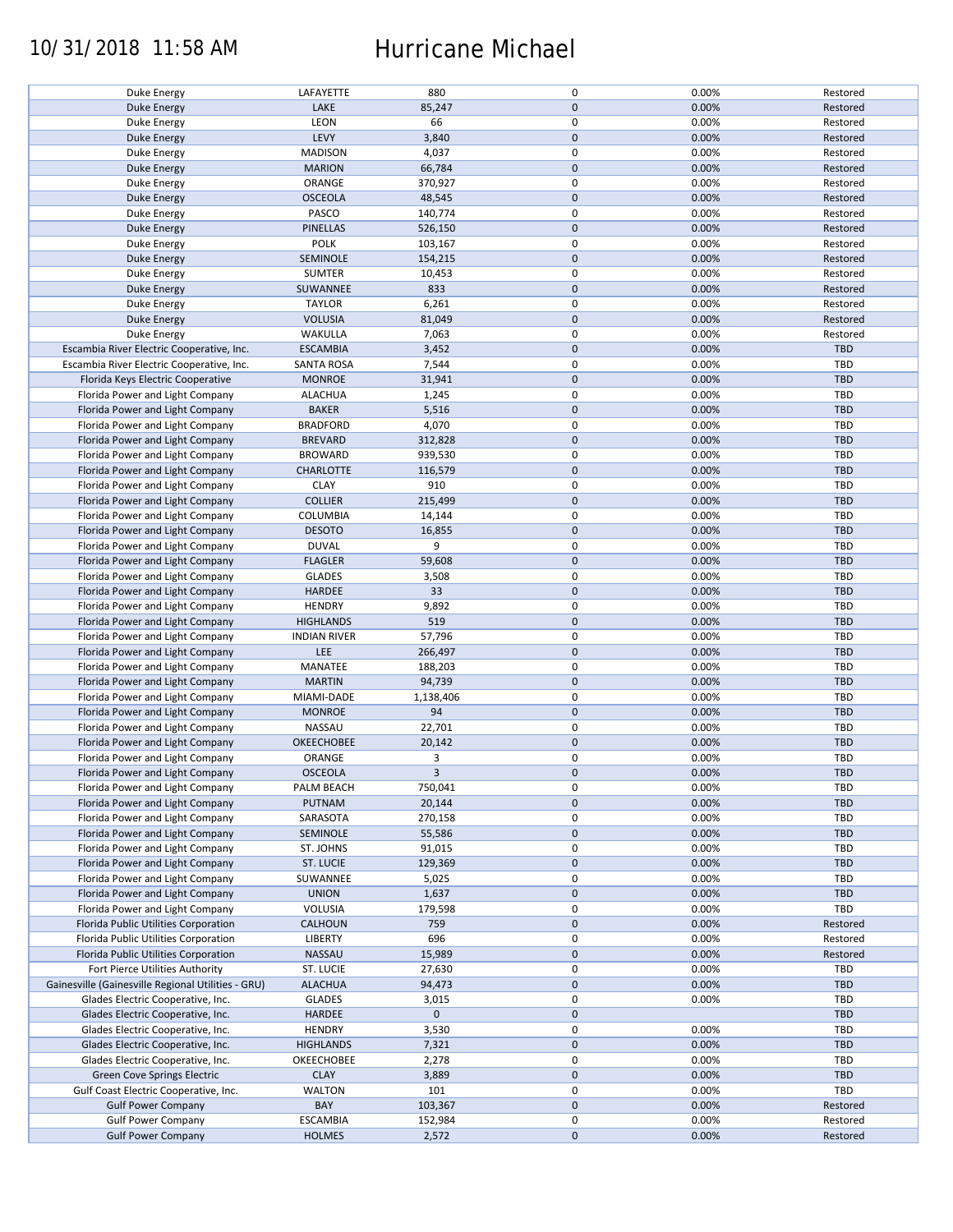### 10/31/2018 11:58 AM Hurricane Michael

| Duke Energy                                        | LAFAYETTE           | 880         | 0            | 0.00% | Restored   |
|----------------------------------------------------|---------------------|-------------|--------------|-------|------------|
|                                                    | LAKE                | 85,247      | $\mathbf{0}$ | 0.00% | Restored   |
| Duke Energy                                        |                     |             |              |       |            |
| Duke Energy                                        | LEON                | 66          | $\mathbf 0$  | 0.00% | Restored   |
| Duke Energy                                        | LEVY                | 3,840       | $\mathbf 0$  | 0.00% | Restored   |
| Duke Energy                                        | <b>MADISON</b>      | 4,037       | $\mathsf 0$  | 0.00% | Restored   |
| Duke Energy                                        | <b>MARION</b>       | 66,784      | $\mathbf 0$  | 0.00% | Restored   |
| Duke Energy                                        | ORANGE              | 370,927     | $\mathsf 0$  | 0.00% | Restored   |
| Duke Energy                                        | <b>OSCEOLA</b>      | 48,545      | $\mathbf 0$  | 0.00% | Restored   |
| Duke Energy                                        | PASCO               | 140,774     | $\mathsf 0$  | 0.00% | Restored   |
| Duke Energy                                        | <b>PINELLAS</b>     | 526,150     | $\mathbf 0$  | 0.00% | Restored   |
| Duke Energy                                        | <b>POLK</b>         | 103,167     | $\pmb{0}$    | 0.00% | Restored   |
| Duke Energy                                        | SEMINOLE            | 154,215     | $\mathbf 0$  | 0.00% | Restored   |
| Duke Energy                                        | <b>SUMTER</b>       | 10,453      | $\pmb{0}$    | 0.00% | Restored   |
| <b>Duke Energy</b>                                 | SUWANNEE            | 833         | $\mathbf 0$  | 0.00% | Restored   |
| Duke Energy                                        | <b>TAYLOR</b>       | 6,261       | $\mathbf 0$  | 0.00% | Restored   |
|                                                    | <b>VOLUSIA</b>      | 81,049      | $\mathbf 0$  | 0.00% | Restored   |
| Duke Energy                                        |                     |             |              |       |            |
| Duke Energy                                        | WAKULLA             | 7,063       | $\mathsf 0$  | 0.00% | Restored   |
| Escambia River Electric Cooperative, Inc.          | <b>ESCAMBIA</b>     | 3,452       | $\mathbf 0$  | 0.00% | <b>TBD</b> |
| Escambia River Electric Cooperative, Inc.          | <b>SANTA ROSA</b>   | 7,544       | $\mathsf 0$  | 0.00% | <b>TBD</b> |
| Florida Keys Electric Cooperative                  | <b>MONROE</b>       | 31,941      | $\mathbf 0$  | 0.00% | <b>TBD</b> |
| Florida Power and Light Company                    | <b>ALACHUA</b>      | 1,245       | $\mathsf 0$  | 0.00% | <b>TBD</b> |
| Florida Power and Light Company                    | <b>BAKER</b>        | 5,516       | $\mathbf 0$  | 0.00% | <b>TBD</b> |
| Florida Power and Light Company                    | <b>BRADFORD</b>     | 4,070       | $\pmb{0}$    | 0.00% | TBD        |
| Florida Power and Light Company                    | <b>BREVARD</b>      | 312,828     | $\mathbf 0$  | 0.00% | <b>TBD</b> |
| Florida Power and Light Company                    | <b>BROWARD</b>      | 939,530     | $\mathsf 0$  | 0.00% | TBD        |
| Florida Power and Light Company                    | <b>CHARLOTTE</b>    | 116,579     | $\mathbf 0$  | 0.00% | <b>TBD</b> |
| Florida Power and Light Company                    | <b>CLAY</b>         | 910         | $\pmb{0}$    | 0.00% | TBD        |
| Florida Power and Light Company                    | <b>COLLIER</b>      | 215,499     | $\mathbf 0$  | 0.00% | <b>TBD</b> |
|                                                    |                     |             | $\mathsf 0$  | 0.00% | <b>TBD</b> |
| Florida Power and Light Company                    | COLUMBIA            | 14,144      |              |       |            |
| Florida Power and Light Company                    | <b>DESOTO</b>       | 16,855      | $\pmb{0}$    | 0.00% | TBD        |
| Florida Power and Light Company                    | <b>DUVAL</b>        | 9           | $\mathsf 0$  | 0.00% | TBD        |
| Florida Power and Light Company                    | <b>FLAGLER</b>      | 59,608      | $\mathbf 0$  | 0.00% | <b>TBD</b> |
| Florida Power and Light Company                    | <b>GLADES</b>       | 3,508       | $\mathsf 0$  | 0.00% | TBD        |
| Florida Power and Light Company                    | <b>HARDEE</b>       | 33          | $\mathbf 0$  | 0.00% | <b>TBD</b> |
| Florida Power and Light Company                    | <b>HENDRY</b>       | 9,892       | $\pmb{0}$    | 0.00% | TBD        |
| Florida Power and Light Company                    | <b>HIGHLANDS</b>    | 519         | $\mathbf 0$  | 0.00% | <b>TBD</b> |
| Florida Power and Light Company                    | <b>INDIAN RIVER</b> | 57,796      | $\mathsf 0$  | 0.00% | TBD        |
| Florida Power and Light Company                    | LEE                 | 266,497     | $\pmb{0}$    | 0.00% | TBD        |
| Florida Power and Light Company                    | MANATEE             | 188,203     | $\mathsf 0$  | 0.00% | TBD        |
| Florida Power and Light Company                    | <b>MARTIN</b>       | 94,739      | $\mathbf 0$  | 0.00% | TBD        |
| Florida Power and Light Company                    | MIAMI-DADE          | 1,138,406   | $\mathbf 0$  | 0.00% | TBD        |
| Florida Power and Light Company                    | <b>MONROE</b>       | 94          | $\mathbf 0$  | 0.00% | <b>TBD</b> |
|                                                    |                     |             | $\pmb{0}$    |       |            |
| Florida Power and Light Company                    | NASSAU              | 22,701      |              | 0.00% | <b>TBD</b> |
| Florida Power and Light Company                    | <b>OKEECHOBEE</b>   | 20,142      | $\mathbf 0$  | 0.00% | TBD        |
| Florida Power and Light Company                    | ORANGE              | 3           | $\mathsf 0$  | 0.00% | <b>TBD</b> |
| Florida Power and Light Company                    | <b>OSCEOLA</b>      | 3           | $\mathbf{0}$ | 0.00% | TBD        |
| Florida Power and Light Company                    | PALM BEACH          | 750,041     | 0            | 0.00% | TBD        |
| Florida Power and Light Company                    | PUTNAM              | 20,144      | $\mathbf 0$  | 0.00% | TBD        |
| Florida Power and Light Company                    | SARASOTA            | 270,158     | $\mathsf 0$  | 0.00% | TBD        |
| Florida Power and Light Company                    | SEMINOLE            | 55,586      | $\mathbf 0$  | 0.00% | <b>TBD</b> |
| Florida Power and Light Company                    | ST. JOHNS           | 91,015      | 0            | 0.00% | TBD        |
| Florida Power and Light Company                    | <b>ST. LUCIE</b>    | 129,369     | $\mathbf 0$  | 0.00% | TBD        |
| Florida Power and Light Company                    | SUWANNEE            | 5,025       | 0            | 0.00% | TBD        |
| Florida Power and Light Company                    | <b>UNION</b>        | 1,637       | $\mathbf 0$  | 0.00% | TBD        |
| Florida Power and Light Company                    | VOLUSIA             | 179,598     | $\mathsf 0$  | 0.00% | TBD        |
| Florida Public Utilities Corporation               | <b>CALHOUN</b>      | 759         | $\mathbf 0$  | 0.00% | Restored   |
|                                                    |                     |             |              |       |            |
| Florida Public Utilities Corporation               | LIBERTY             | 696         | 0            | 0.00% | Restored   |
| Florida Public Utilities Corporation               | NASSAU              | 15,989      | $\mathbf 0$  | 0.00% | Restored   |
| Fort Pierce Utilities Authority                    | ST. LUCIE           | 27,630      | 0            | 0.00% | TBD        |
| Gainesville (Gainesville Regional Utilities - GRU) | <b>ALACHUA</b>      | 94,473      | $\mathbf 0$  | 0.00% | TBD        |
| Glades Electric Cooperative, Inc.                  | <b>GLADES</b>       | 3,015       | 0            | 0.00% | TBD        |
| Glades Electric Cooperative, Inc.                  | <b>HARDEE</b>       | $\mathbf 0$ | $\mathbf 0$  |       | TBD        |
| Glades Electric Cooperative, Inc.                  | <b>HENDRY</b>       | 3,530       | $\mathsf 0$  | 0.00% | TBD        |
| Glades Electric Cooperative, Inc.                  | <b>HIGHLANDS</b>    | 7,321       | $\pmb{0}$    | 0.00% | TBD        |
| Glades Electric Cooperative, Inc.                  | OKEECHOBEE          | 2,278       | 0            | 0.00% | TBD        |
| Green Cove Springs Electric                        | <b>CLAY</b>         | 3,889       | $\mathbf 0$  | 0.00% | TBD        |
| Gulf Coast Electric Cooperative, Inc.              | <b>WALTON</b>       | 101         | 0            | 0.00% | TBD        |
| <b>Gulf Power Company</b>                          | BAY                 | 103,367     | $\mathbf 0$  | 0.00% | Restored   |
| <b>Gulf Power Company</b>                          | <b>ESCAMBIA</b>     | 152,984     | 0            | 0.00% | Restored   |
| <b>Gulf Power Company</b>                          | <b>HOLMES</b>       | 2,572       | $\mathbf 0$  | 0.00% | Restored   |
|                                                    |                     |             |              |       |            |